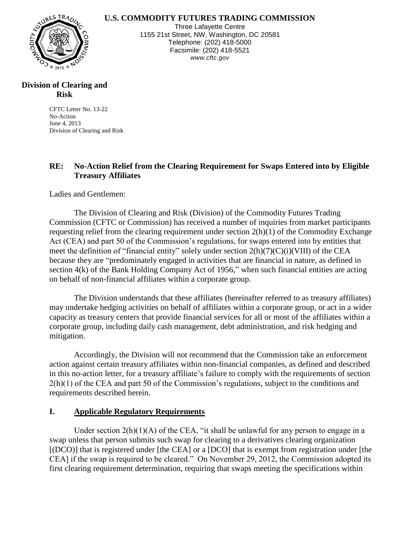## **U.S. COMMODITY FUTURES TRADING COMMISSION**



Three Lafayette Centre 1155 21st Street, NW, Washington, DC 20581 Telephone: (202) 418-5000 Facsimile: (202) 418-5521 *www.cftc.gov*

## **Division of Clearing and Risk**

CFTC Letter No. 13-22 No-Action June 4, 2013 Division of Clearing and Risk

# **RE: No-Action Relief from the Clearing Requirement for Swaps Entered into by Eligible Treasury Affiliates**

Ladies and Gentlemen:

The Division of Clearing and Risk (Division) of the Commodity Futures Trading Commission (CFTC or Commission) has received a number of inquiries from market participants requesting relief from the clearing requirement under section 2(h)(1) of the Commodity Exchange Act (CEA) and part 50 of the Commission's regulations, for swaps entered into by entities that meet the definition of "financial entity" solely under section 2(h)(7)(C)(i)(VIII) of the CEA because they are "predominately engaged in activities that are financial in nature, as defined in section 4(k) of the Bank Holding Company Act of 1956," when such financial entities are acting on behalf of non-financial affiliates within a corporate group.

The Division understands that these affiliates (hereinafter referred to as treasury affiliates) may undertake hedging activities on behalf of affiliates within a corporate group, or act in a wider capacity as treasury centers that provide financial services for all or most of the affiliates within a corporate group, including daily cash management, debt administration, and risk hedging and mitigation.

Accordingly, the Division will not recommend that the Commission take an enforcement action against certain treasury affiliates within non-financial companies, as defined and described in this no-action letter, for a treasury affiliate's failure to comply with the requirements of section 2(h)(1) of the CEA and part 50 of the Commission's regulations, subject to the conditions and requirements described herein.

## **I. Applicable Regulatory Requirements**

Under section  $2(h)(1)(A)$  of the CEA, "it shall be unlawful for any person to engage in a swap unless that person submits such swap for clearing to a derivatives clearing organization [(DCO)] that is registered under [the CEA] or a [DCO] that is exempt from registration under [the CEA] if the swap is required to be cleared." On November 29, 2012, the Commission adopted its first clearing requirement determination, requiring that swaps meeting the specifications within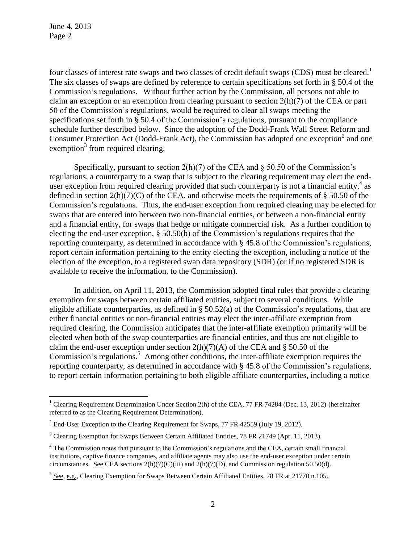$\overline{a}$ 

four classes of interest rate swaps and two classes of credit default swaps (CDS) must be cleared.<sup>1</sup> The six classes of swaps are defined by reference to certain specifications set forth in § 50.4 of the Commission's regulations. Without further action by the Commission, all persons not able to claim an exception or an exemption from clearing pursuant to section 2(h)(7) of the CEA or part 50 of the Commission's regulations, would be required to clear all swaps meeting the specifications set forth in § 50.4 of the Commission's regulations, pursuant to the compliance schedule further described below. Since the adoption of the Dodd-Frank Wall Street Reform and Consumer Protection Act (Dodd-Frank Act), the Commission has adopted one exception<sup>2</sup> and one exemption<sup>3</sup> from required clearing.

Specifically, pursuant to section  $2(h)(7)$  of the CEA and  $\S 50.50$  of the Commission's regulations, a counterparty to a swap that is subject to the clearing requirement may elect the enduser exception from required clearing provided that such counterparty is not a financial entity,  $4$  as defined in section  $2(h)(7)(C)$  of the CEA, and otherwise meets the requirements of § 50.50 of the Commission's regulations. Thus, the end-user exception from required clearing may be elected for swaps that are entered into between two non-financial entities, or between a non-financial entity and a financial entity, for swaps that hedge or mitigate commercial risk. As a further condition to electing the end-user exception, § 50.50(b) of the Commission's regulations requires that the reporting counterparty, as determined in accordance with § 45.8 of the Commission's regulations, report certain information pertaining to the entity electing the exception, including a notice of the election of the exception, to a registered swap data repository (SDR) (or if no registered SDR is available to receive the information, to the Commission).

In addition, on April 11, 2013, the Commission adopted final rules that provide a clearing exemption for swaps between certain affiliated entities, subject to several conditions. While eligible affiliate counterparties, as defined in § 50.52(a) of the Commission's regulations, that are either financial entities or non-financial entities may elect the inter-affiliate exemption from required clearing, the Commission anticipates that the inter-affiliate exemption primarily will be elected when both of the swap counterparties are financial entities, and thus are not eligible to claim the end-user exception under section  $2(h)(7)(A)$  of the CEA and § 50.50 of the Commission's regulations.<sup>5</sup> Among other conditions, the inter-affiliate exemption requires the reporting counterparty, as determined in accordance with § 45.8 of the Commission's regulations, to report certain information pertaining to both eligible affiliate counterparties, including a notice

<sup>&</sup>lt;sup>1</sup> Clearing Requirement Determination Under Section 2(h) of the CEA, 77 FR 74284 (Dec. 13, 2012) (hereinafter referred to as the Clearing Requirement Determination).

 $2$  End-User Exception to the Clearing Requirement for Swaps, 77 FR 42559 (July 19, 2012).

<sup>&</sup>lt;sup>3</sup> Clearing Exemption for Swaps Between Certain Affiliated Entities, 78 FR 21749 (Apr. 11, 2013).

<sup>4</sup> The Commission notes that pursuant to the Commission's regulations and the CEA, certain small financial institutions, captive finance companies, and affiliate agents may also use the end-user exception under certain circumstances. See CEA sections  $2(h)(7)(C)(iii)$  and  $2(h)(7)(D)$ , and Commission regulation 50.50(d).

 $<sup>5</sup>$  See, e.g., Clearing Exemption for Swaps Between Certain Affiliated Entities, 78 FR at 21770 n.105.</sup>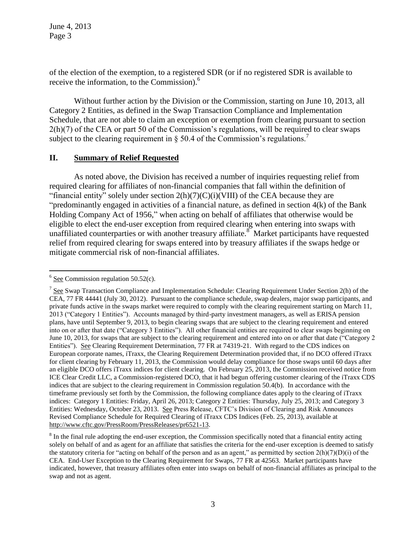of the election of the exemption, to a registered SDR (or if no registered SDR is available to receive the information, to the Commission).<sup>6</sup>

Without further action by the Division or the Commission, starting on June 10, 2013, all Category 2 Entities, as defined in the Swap Transaction Compliance and Implementation Schedule, that are not able to claim an exception or exemption from clearing pursuant to section 2(h)(7) of the CEA or part 50 of the Commission's regulations, will be required to clear swaps subject to the clearing requirement in  $\S$  50.4 of the Commission's regulations.<sup>7</sup>

#### **II. Summary of Relief Requested**

As noted above, the Division has received a number of inquiries requesting relief from required clearing for affiliates of non-financial companies that fall within the definition of "financial entity" solely under section  $2(h)(7)(C)(i)(VIII)$  of the CEA because they are "predominantly engaged in activities of a financial nature, as defined in section 4(k) of the Bank Holding Company Act of 1956," when acting on behalf of affiliates that otherwise would be eligible to elect the end-user exception from required clearing when entering into swaps with unaffiliated counterparties or with another treasury affiliate. $\delta^{\sim}$  Market participants have requested relief from required clearing for swaps entered into by treasury affiliates if the swaps hedge or mitigate commercial risk of non-financial affiliates.

<sup>&</sup>lt;sup>6</sup> See Commission regulation 50.52(c).

 $7$  See Swap Transaction Compliance and Implementation Schedule: Clearing Requirement Under Section 2(h) of the CEA, 77 FR 44441 (July 30, 2012). Pursuant to the compliance schedule, swap dealers, major swap participants, and private funds active in the swaps market were required to comply with the clearing requirement starting on March 11, 2013 ("Category 1 Entities"). Accounts managed by third-party investment managers, as well as ERISA pension plans, have until September 9, 2013, to begin clearing swaps that are subject to the clearing requirement and entered into on or after that date ("Category 3 Entities"). All other financial entities are required to clear swaps beginning on June 10, 2013, for swaps that are subject to the clearing requirement and entered into on or after that date ("Category 2 Entities"). See Clearing Requirement Determination, 77 FR at 74319-21. With regard to the CDS indices on European corporate names, iTraxx, the Clearing Requirement Determination provided that, if no DCO offered iTraxx for client clearing by February 11, 2013, the Commission would delay compliance for those swaps until 60 days after an eligible DCO offers iTraxx indices for client clearing. On February 25, 2013, the Commission received notice from ICE Clear Credit LLC, a Commission-registered DCO, that it had begun offering customer clearing of the iTraxx CDS indices that are subject to the clearing requirement in Commission regulation 50.4(b). In accordance with the timeframe previously set forth by the Commission, the following compliance dates apply to the clearing of iTraxx indices: Category 1 Entities: Friday, April 26, 2013; Category 2 Entities: Thursday, July 25, 2013; and Category 3 Entities: Wednesday, October 23, 2013. See Press Release, CFTC's Division of Clearing and Risk Announces Revised Compliance Schedule for Required Clearing of iTraxx CDS Indices (Feb. 25, 2013), available at http://www.cftc.gov/PressRoom/PressReleases/pr6521-13.

 $8$  In the final rule adopting the end-user exception, the Commission specifically noted that a financial entity acting solely on behalf of and as agent for an affiliate that satisfies the criteria for the end-user exception is deemed to satisfy the statutory criteria for "acting on behalf of the person and as an agent," as permitted by section 2(h)(7)(D)(i) of the CEA. End-User Exception to the Clearing Requirement for Swaps, 77 FR at 42563. Market participants have indicated, however, that treasury affiliates often enter into swaps on behalf of non-financial affiliates as principal to the swap and not as agent.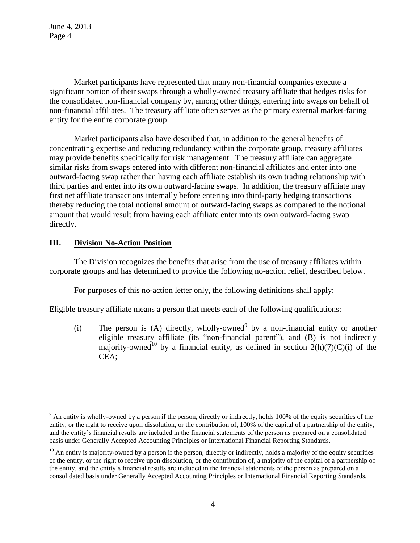Market participants have represented that many non-financial companies execute a significant portion of their swaps through a wholly-owned treasury affiliate that hedges risks for the consolidated non-financial company by, among other things, entering into swaps on behalf of non-financial affiliates. The treasury affiliate often serves as the primary external market-facing entity for the entire corporate group.

Market participants also have described that, in addition to the general benefits of concentrating expertise and reducing redundancy within the corporate group, treasury affiliates may provide benefits specifically for risk management. The treasury affiliate can aggregate similar risks from swaps entered into with different non-financial affiliates and enter into one outward-facing swap rather than having each affiliate establish its own trading relationship with third parties and enter into its own outward-facing swaps. In addition, the treasury affiliate may first net affiliate transactions internally before entering into third-party hedging transactions thereby reducing the total notional amount of outward-facing swaps as compared to the notional amount that would result from having each affiliate enter into its own outward-facing swap directly.

## **III. Division No-Action Position**

 $\overline{a}$ 

The Division recognizes the benefits that arise from the use of treasury affiliates within corporate groups and has determined to provide the following no-action relief, described below.

For purposes of this no-action letter only, the following definitions shall apply:

Eligible treasury affiliate means a person that meets each of the following qualifications:

(i) The person is (A) directly, wholly-owned<sup>9</sup> by a non-financial entity or another eligible treasury affiliate (its "non-financial parent"), and (B) is not indirectly majority-owned<sup>10</sup> by a financial entity, as defined in section  $2(h)(7)(C)(i)$  of the CEA;

<sup>&</sup>lt;sup>9</sup> An entity is wholly-owned by a person if the person, directly or indirectly, holds 100% of the equity securities of the entity, or the right to receive upon dissolution, or the contribution of, 100% of the capital of a partnership of the entity, and the entity's financial results are included in the financial statements of the person as prepared on a consolidated basis under Generally Accepted Accounting Principles or International Financial Reporting Standards.

 $10$  An entity is majority-owned by a person if the person, directly or indirectly, holds a majority of the equity securities of the entity, or the right to receive upon dissolution, or the contribution of, a majority of the capital of a partnership of the entity, and the entity's financial results are included in the financial statements of the person as prepared on a consolidated basis under Generally Accepted Accounting Principles or International Financial Reporting Standards.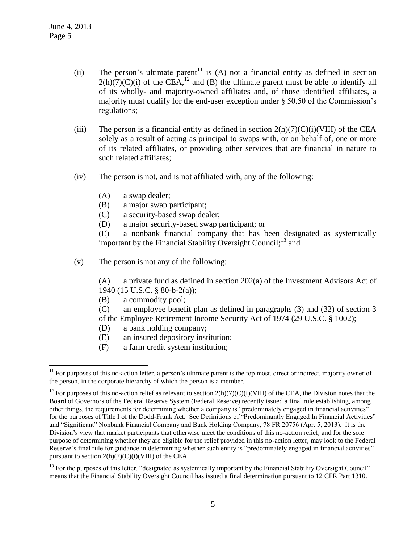$\overline{a}$ 

- (ii) The person's ultimate parent<sup>11</sup> is (A) not a financial entity as defined in section  $2(h)(7)(C)(i)$  of the CEA,<sup>12</sup> and (B) the ultimate parent must be able to identify all of its wholly- and majority-owned affiliates and, of those identified affiliates, a majority must qualify for the end-user exception under § 50.50 of the Commission's regulations;
- (iii) The person is a financial entity as defined in section  $2(h)(7)(C)(i)(VIII)$  of the CEA solely as a result of acting as principal to swaps with, or on behalf of, one or more of its related affiliates, or providing other services that are financial in nature to such related affiliates;
- (iv) The person is not, and is not affiliated with, any of the following:
	- (A) a swap dealer;
	- (B) a major swap participant;
	- (C) a security-based swap dealer;
	- (D) a major security-based swap participant; or

(E) a nonbank financial company that has been designated as systemically important by the Financial Stability Oversight Council;<sup>13</sup> and

(v) The person is not any of the following:

(A) a private fund as defined in section 202(a) of the Investment Advisors Act of 1940 (15 U.S.C. § 80-b-2(a));

(B) a commodity pool;

(C) an employee benefit plan as defined in paragraphs (3) and (32) of section 3 of the Employee Retirement Income Security Act of 1974 (29 U.S.C. § 1002);

- (D) a bank holding company;
- (E) an insured depository institution;
- (F) a farm credit system institution;

 $11$  For purposes of this no-action letter, a person's ultimate parent is the top most, direct or indirect, majority owner of the person, in the corporate hierarchy of which the person is a member.

<sup>&</sup>lt;sup>12</sup> For purposes of this no-action relief as relevant to section  $2(h)(7)(C)(i)(VIII)$  of the CEA, the Division notes that the Board of Governors of the Federal Reserve System (Federal Reserve) recently issued a final rule establishing, among other things, the requirements for determining whether a company is "predominately engaged in financial activities" for the purposes of Title I of the Dodd-Frank Act. See Definitions of "Predominantly Engaged In Financial Activities" and "Significant" Nonbank Financial Company and Bank Holding Company, 78 FR 20756 (Apr. 5, 2013). It is the Division's view that market participants that otherwise meet the conditions of this no-action relief, and for the sole purpose of determining whether they are eligible for the relief provided in this no-action letter, may look to the Federal Reserve's final rule for guidance in determining whether such entity is "predominately engaged in financial activities" pursuant to section  $2(h)(7)(C)(i)(VIII)$  of the CEA.

<sup>&</sup>lt;sup>13</sup> For the purposes of this letter, "designated as systemically important by the Financial Stability Oversight Council" means that the Financial Stability Oversight Council has issued a final determination pursuant to 12 CFR Part 1310.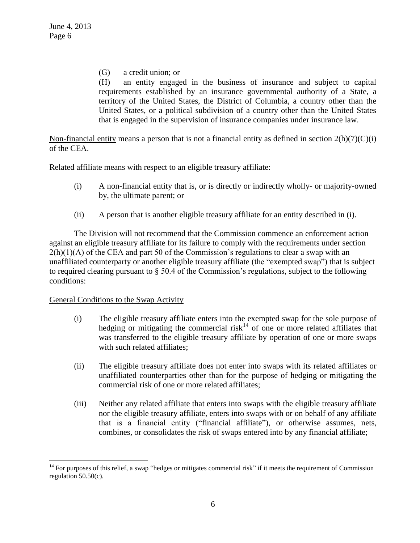(G) a credit union; or

(H) an entity engaged in the business of insurance and subject to capital requirements established by an insurance governmental authority of a State, a territory of the United States, the District of Columbia, a country other than the United States, or a political subdivision of a country other than the United States that is engaged in the supervision of insurance companies under insurance law.

Non-financial entity means a person that is not a financial entity as defined in section  $2(h)(7)(C)(i)$ of the CEA.

Related affiliate means with respect to an eligible treasury affiliate:

- (i) A non-financial entity that is, or is directly or indirectly wholly- or majority-owned by, the ultimate parent; or
- (ii) A person that is another eligible treasury affiliate for an entity described in (i).

The Division will not recommend that the Commission commence an enforcement action against an eligible treasury affiliate for its failure to comply with the requirements under section  $2(h)(1)(A)$  of the CEA and part 50 of the Commission's regulations to clear a swap with an unaffiliated counterparty or another eligible treasury affiliate (the "exempted swap") that is subject to required clearing pursuant to § 50.4 of the Commission's regulations, subject to the following conditions:

## General Conditions to the Swap Activity

 $\overline{a}$ 

- (i) The eligible treasury affiliate enters into the exempted swap for the sole purpose of hedging or mitigating the commercial risk<sup>14</sup> of one or more related affiliates that was transferred to the eligible treasury affiliate by operation of one or more swaps with such related affiliates;
- (ii) The eligible treasury affiliate does not enter into swaps with its related affiliates or unaffiliated counterparties other than for the purpose of hedging or mitigating the commercial risk of one or more related affiliates;
- (iii) Neither any related affiliate that enters into swaps with the eligible treasury affiliate nor the eligible treasury affiliate, enters into swaps with or on behalf of any affiliate that is a financial entity ("financial affiliate"), or otherwise assumes, nets, combines, or consolidates the risk of swaps entered into by any financial affiliate;

 $14$  For purposes of this relief, a swap "hedges or mitigates commercial risk" if it meets the requirement of Commission regulation 50.50(c).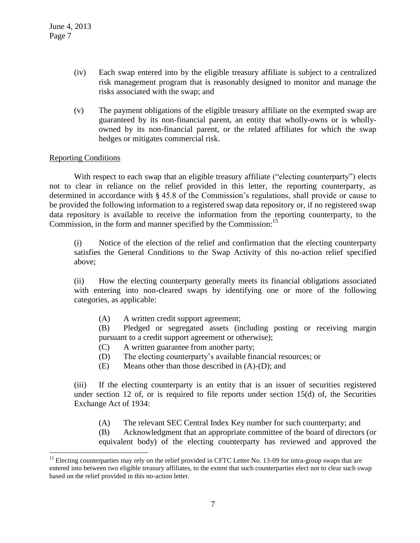- (iv) Each swap entered into by the eligible treasury affiliate is subject to a centralized risk management program that is reasonably designed to monitor and manage the risks associated with the swap; and
- (v) The payment obligations of the eligible treasury affiliate on the exempted swap are guaranteed by its non-financial parent, an entity that wholly-owns or is whollyowned by its non-financial parent, or the related affiliates for which the swap hedges or mitigates commercial risk.

## Reporting Conditions

 $\overline{a}$ 

With respect to each swap that an eligible treasury affiliate ("electing counterparty") elects not to clear in reliance on the relief provided in this letter, the reporting counterparty, as determined in accordance with § 45.8 of the Commission's regulations, shall provide or cause to be provided the following information to a registered swap data repository or, if no registered swap data repository is available to receive the information from the reporting counterparty, to the Commission, in the form and manner specified by the Commission:<sup>15</sup>

(i) Notice of the election of the relief and confirmation that the electing counterparty satisfies the General Conditions to the Swap Activity of this no-action relief specified above;

(ii) How the electing counterparty generally meets its financial obligations associated with entering into non-cleared swaps by identifying one or more of the following categories, as applicable:

(A) A written credit support agreement;

(B) Pledged or segregated assets (including posting or receiving margin pursuant to a credit support agreement or otherwise);

- (C) A written guarantee from another party;
- (D) The electing counterparty's available financial resources; or
- (E) Means other than those described in (A)-(D); and

(iii) If the electing counterparty is an entity that is an issuer of securities registered under section 12 of, or is required to file reports under section 15(d) of, the Securities Exchange Act of 1934:

(A) The relevant SEC Central Index Key number for such counterparty; and

(B) Acknowledgment that an appropriate committee of the board of directors (or equivalent body) of the electing counterparty has reviewed and approved the

<sup>&</sup>lt;sup>15</sup> Electing counterparties may rely on the relief provided in CFTC Letter No. 13-09 for intra-group swaps that are entered into between two eligible treasury affiliates, to the extent that such counterparties elect not to clear such swap based on the relief provided in this no-action letter.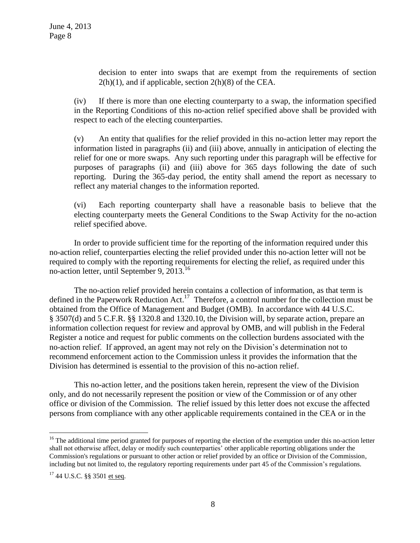decision to enter into swaps that are exempt from the requirements of section  $2(h)(1)$ , and if applicable, section  $2(h)(8)$  of the CEA.

(iv) If there is more than one electing counterparty to a swap, the information specified in the Reporting Conditions of this no-action relief specified above shall be provided with respect to each of the electing counterparties.

(v) An entity that qualifies for the relief provided in this no-action letter may report the information listed in paragraphs (ii) and (iii) above, annually in anticipation of electing the relief for one or more swaps. Any such reporting under this paragraph will be effective for purposes of paragraphs (ii) and (iii) above for 365 days following the date of such reporting. During the 365-day period, the entity shall amend the report as necessary to reflect any material changes to the information reported.

(vi) Each reporting counterparty shall have a reasonable basis to believe that the electing counterparty meets the General Conditions to the Swap Activity for the no-action relief specified above.

In order to provide sufficient time for the reporting of the information required under this no-action relief, counterparties electing the relief provided under this no-action letter will not be required to comply with the reporting requirements for electing the relief, as required under this no-action letter, until September 9, 2013.<sup>16</sup>

The no-action relief provided herein contains a collection of information, as that term is defined in the Paperwork Reduction Act.<sup>17</sup> Therefore, a control number for the collection must be obtained from the Office of Management and Budget (OMB). In accordance with 44 U.S.C. § 3507(d) and 5 C.F.R. §§ 1320.8 and 1320.10, the Division will, by separate action, prepare an information collection request for review and approval by OMB, and will publish in the Federal Register a notice and request for public comments on the collection burdens associated with the no-action relief. If approved, an agent may not rely on the Division's determination not to recommend enforcement action to the Commission unless it provides the information that the Division has determined is essential to the provision of this no-action relief.

This no-action letter, and the positions taken herein, represent the view of the Division only, and do not necessarily represent the position or view of the Commission or of any other office or division of the Commission. The relief issued by this letter does not excuse the affected persons from compliance with any other applicable requirements contained in the CEA or in the

 $\overline{a}$ 

<sup>&</sup>lt;sup>16</sup> The additional time period granted for purposes of reporting the election of the exemption under this no-action letter shall not otherwise affect, delay or modify such counterparties' other applicable reporting obligations under the Commission's regulations or pursuant to other action or relief provided by an office or Division of the Commission, including but not limited to, the regulatory reporting requirements under part 45 of the Commission's regulations.

<sup>&</sup>lt;sup>17</sup> 44 U.S.C. §§ 3501 et seq.